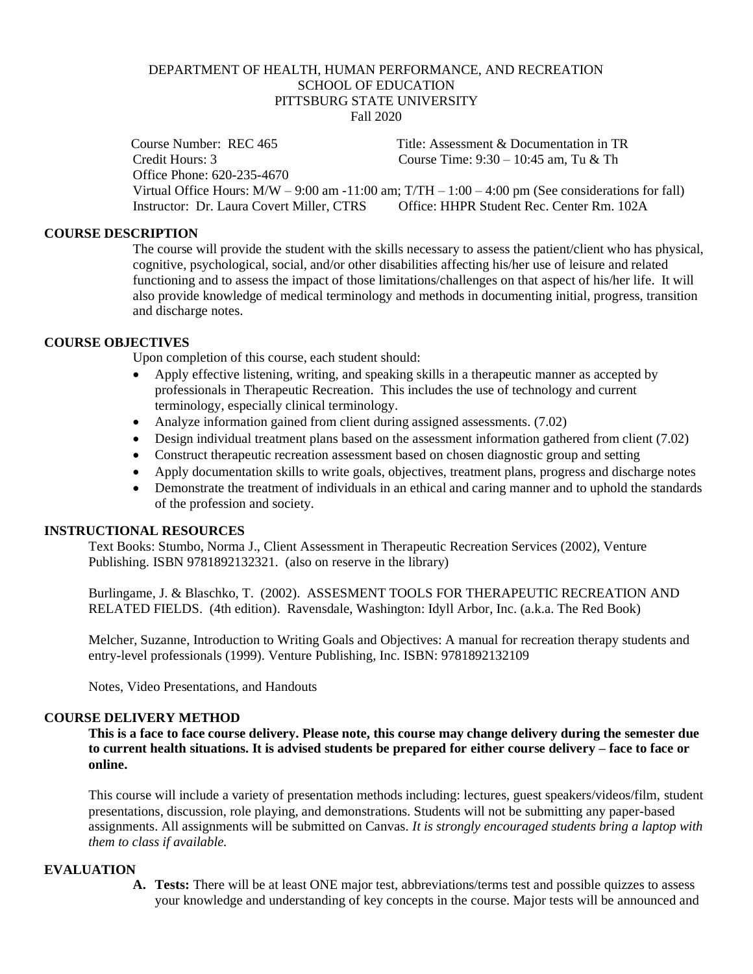# DEPARTMENT OF HEALTH, HUMAN PERFORMANCE, AND RECREATION SCHOOL OF EDUCATION PITTSBURG STATE UNIVERSITY Fall 2020

 Course Number: REC 465 Title: Assessment & Documentation in TR Credit Hours: 3 Course Time: 9:30 – 10:45 am, Tu & Th Office Phone: 620-235-4670 Virtual Office Hours:  $M/W - 9:00$  am  $-11:00$  am;  $T/TH - 1:00 - 4:00$  pm (See considerations for fall)<br>Instructor: Dr. Laura Covert Miller CTRS Office: HHPR Student Rec. Center Rm 102A Instructor: Dr. Laura Covert Miller, CTRS

#### **COURSE DESCRIPTION**

The course will provide the student with the skills necessary to assess the patient/client who has physical, cognitive, psychological, social, and/or other disabilities affecting his/her use of leisure and related functioning and to assess the impact of those limitations/challenges on that aspect of his/her life. It will also provide knowledge of medical terminology and methods in documenting initial, progress, transition and discharge notes.

#### **COURSE OBJECTIVES**

Upon completion of this course, each student should:

- Apply effective listening, writing, and speaking skills in a therapeutic manner as accepted by professionals in Therapeutic Recreation. This includes the use of technology and current terminology, especially clinical terminology.
- Analyze information gained from client during assigned assessments. (7.02)
- Design individual treatment plans based on the assessment information gathered from client (7.02)
- Construct therapeutic recreation assessment based on chosen diagnostic group and setting
- Apply documentation skills to write goals, objectives, treatment plans, progress and discharge notes
- Demonstrate the treatment of individuals in an ethical and caring manner and to uphold the standards of the profession and society.

### **INSTRUCTIONAL RESOURCES**

Text Books: Stumbo, Norma J., Client Assessment in Therapeutic Recreation Services (2002), Venture Publishing. ISBN 9781892132321. (also on reserve in the library)

Burlingame, J. & Blaschko, T. (2002). ASSESMENT TOOLS FOR THERAPEUTIC RECREATION AND RELATED FIELDS. (4th edition). Ravensdale, Washington: Idyll Arbor, Inc. (a.k.a. The Red Book)

Melcher, Suzanne, Introduction to Writing Goals and Objectives: A manual for recreation therapy students and entry-level professionals (1999). Venture Publishing, Inc. ISBN: 9781892132109

Notes, Video Presentations, and Handouts

## **COURSE DELIVERY METHOD**

**This is a face to face course delivery. Please note, this course may change delivery during the semester due to current health situations. It is advised students be prepared for either course delivery – face to face or online.**

This course will include a variety of presentation methods including: lectures, guest speakers/videos/film, student presentations, discussion, role playing, and demonstrations. Students will not be submitting any paper-based assignments. All assignments will be submitted on Canvas. *It is strongly encouraged students bring a laptop with them to class if available.*

#### **EVALUATION**

**A. Tests:** There will be at least ONE major test, abbreviations/terms test and possible quizzes to assess your knowledge and understanding of key concepts in the course. Major tests will be announced and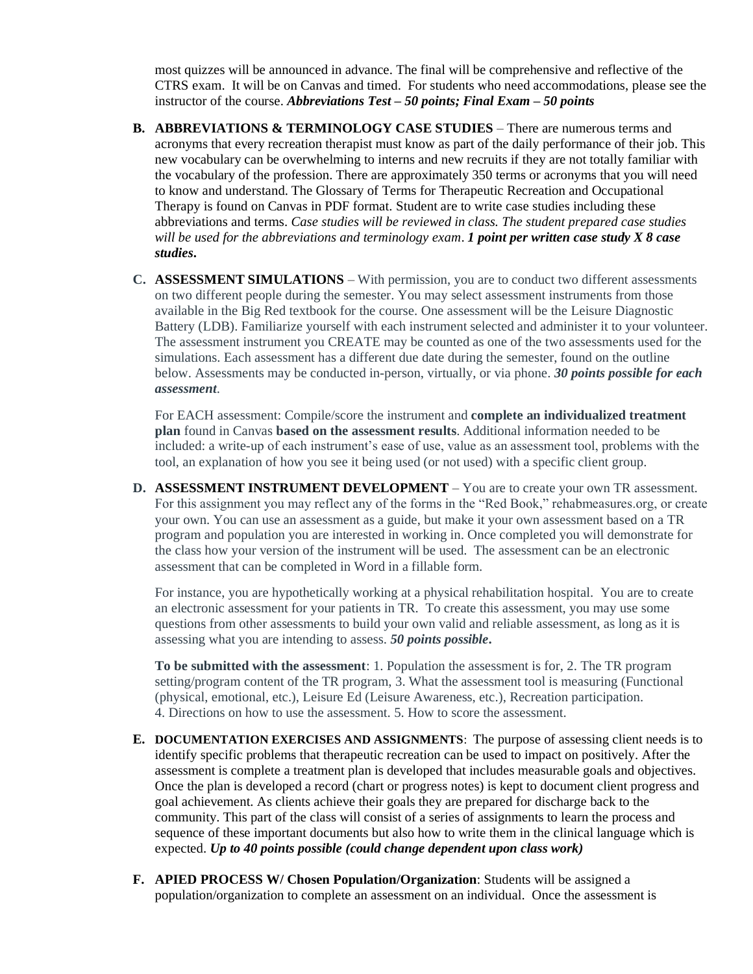most quizzes will be announced in advance. The final will be comprehensive and reflective of the CTRS exam. It will be on Canvas and timed. For students who need accommodations, please see the instructor of the course. *Abbreviations Test – 50 points; Final Exam – 50 points*

- **B. ABBREVIATIONS & TERMINOLOGY CASE STUDIES** There are numerous terms and acronyms that every recreation therapist must know as part of the daily performance of their job. This new vocabulary can be overwhelming to interns and new recruits if they are not totally familiar with the vocabulary of the profession. There are approximately 350 terms or acronyms that you will need to know and understand. The Glossary of Terms for Therapeutic Recreation and Occupational Therapy is found on Canvas in PDF format. Student are to write case studies including these abbreviations and terms. *Case studies will be reviewed in class. The student prepared case studies will be used for the abbreviations and terminology exam*. *1 point per written case study X 8 case studies***.**
- **C. ASSESSMENT SIMULATIONS** With permission, you are to conduct two different assessments on two different people during the semester. You may select assessment instruments from those available in the Big Red textbook for the course. One assessment will be the Leisure Diagnostic Battery (LDB). Familiarize yourself with each instrument selected and administer it to your volunteer. The assessment instrument you CREATE may be counted as one of the two assessments used for the simulations. Each assessment has a different due date during the semester, found on the outline below. Assessments may be conducted in-person, virtually, or via phone. *30 points possible for each assessment*.

For EACH assessment: Compile/score the instrument and **complete an individualized treatment plan** found in Canvas **based on the assessment results**. Additional information needed to be included: a write-up of each instrument's ease of use, value as an assessment tool, problems with the tool, an explanation of how you see it being used (or not used) with a specific client group.

**D. ASSESSMENT INSTRUMENT DEVELOPMENT** – You are to create your own TR assessment. For this assignment you may reflect any of the forms in the "Red Book," rehabmeasures.org, or create your own. You can use an assessment as a guide, but make it your own assessment based on a TR program and population you are interested in working in. Once completed you will demonstrate for the class how your version of the instrument will be used. The assessment can be an electronic assessment that can be completed in Word in a fillable form.

For instance, you are hypothetically working at a physical rehabilitation hospital. You are to create an electronic assessment for your patients in TR. To create this assessment, you may use some questions from other assessments to build your own valid and reliable assessment, as long as it is assessing what you are intending to assess. *50 points possible***.**

**To be submitted with the assessment**: 1. Population the assessment is for, 2. The TR program setting/program content of the TR program, 3. What the assessment tool is measuring (Functional (physical, emotional, etc.), Leisure Ed (Leisure Awareness, etc.), Recreation participation. 4. Directions on how to use the assessment. 5. How to score the assessment.

- **E. DOCUMENTATION EXERCISES AND ASSIGNMENTS**: The purpose of assessing client needs is to identify specific problems that therapeutic recreation can be used to impact on positively. After the assessment is complete a treatment plan is developed that includes measurable goals and objectives. Once the plan is developed a record (chart or progress notes) is kept to document client progress and goal achievement. As clients achieve their goals they are prepared for discharge back to the community. This part of the class will consist of a series of assignments to learn the process and sequence of these important documents but also how to write them in the clinical language which is expected. *Up to 40 points possible (could change dependent upon class work)*
- **F. APIED PROCESS W/ Chosen Population/Organization**: Students will be assigned a population/organization to complete an assessment on an individual. Once the assessment is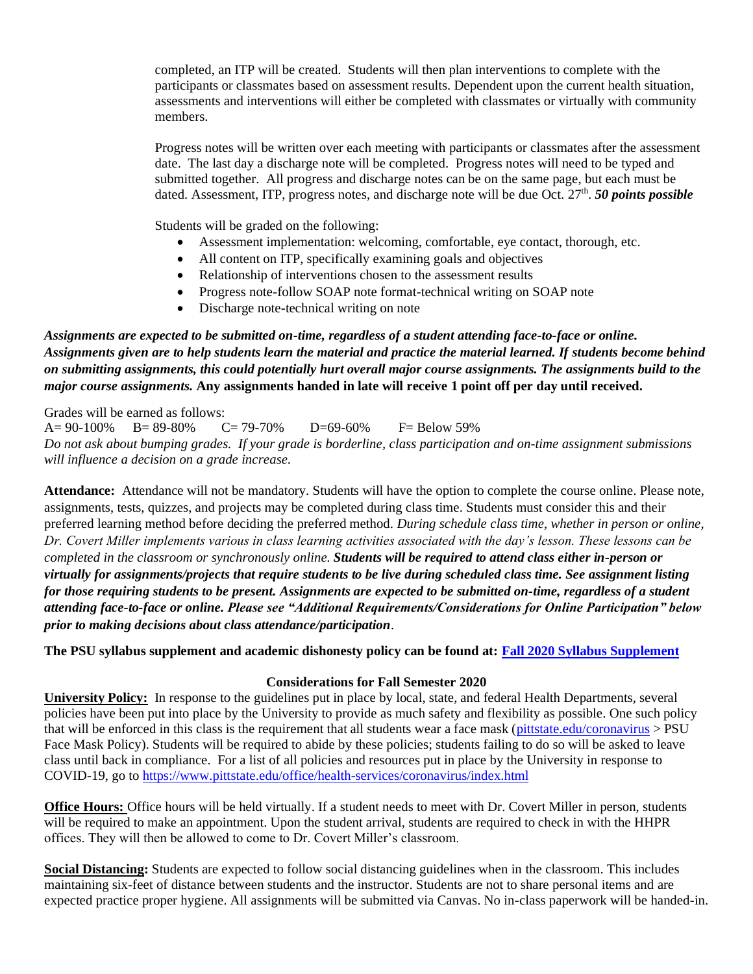completed, an ITP will be created. Students will then plan interventions to complete with the participants or classmates based on assessment results. Dependent upon the current health situation, assessments and interventions will either be completed with classmates or virtually with community members.

Progress notes will be written over each meeting with participants or classmates after the assessment date. The last day a discharge note will be completed. Progress notes will need to be typed and submitted together. All progress and discharge notes can be on the same page, but each must be dated. Assessment, ITP, progress notes, and discharge note will be due Oct. 27<sup>th</sup>. **50 points possible** 

Students will be graded on the following:

- Assessment implementation: welcoming, comfortable, eye contact, thorough, etc.
- All content on ITP, specifically examining goals and objectives
- Relationship of interventions chosen to the assessment results
- Progress note-follow SOAP note format-technical writing on SOAP note
- Discharge note-technical writing on note

# *Assignments are expected to be submitted on-time, regardless of a student attending face-to-face or online. Assignments given are to help students learn the material and practice the material learned. If students become behind on submitting assignments, this could potentially hurt overall major course assignments. The assignments build to the major course assignments.* **Any assignments handed in late will receive 1 point off per day until received.**

Grades will be earned as follows:

 $A= 90-100\%$  B= 89-80% C= 79-70% D=69-60% F= Below 59% *Do not ask about bumping grades. If your grade is borderline, class participation and on-time assignment submissions will influence a decision on a grade increase.*

**Attendance:** Attendance will not be mandatory. Students will have the option to complete the course online. Please note, assignments, tests, quizzes, and projects may be completed during class time. Students must consider this and their preferred learning method before deciding the preferred method. *During schedule class time, whether in person or online, Dr. Covert Miller implements various in class learning activities associated with the day's lesson. These lessons can be completed in the classroom or synchronously online. Students will be required to attend class either in-person or virtually for assignments/projects that require students to be live during scheduled class time. See assignment listing for those requiring students to be present. Assignments are expected to be submitted on-time, regardless of a student attending face-to-face or online. Please see "Additional Requirements/Considerations for Online Participation" below prior to making decisions about class attendance/participation*.

**The PSU syllabus supplement and academic dishonesty policy can be found at[: Fall 2020 Syllabus Supplement](https://www.pittstate.edu/registrar/_files/documents/syllabus-supplement-fall-2020-updated-7-17-20.pdf)**

# **Considerations for Fall Semester 2020**

**University Policy:** In response to the guidelines put in place by local, state, and federal Health Departments, several policies have been put into place by the University to provide as much safety and flexibility as possible. One such policy that will be enforced in this class is the requirement that all students wear a face mask [\(pittstate.edu/coronavirus](https://www.pittstate.edu/office/health-services/coronavirus/index.html) > PSU Face Mask Policy). Students will be required to abide by these policies; students failing to do so will be asked to leave class until back in compliance. For a list of all policies and resources put in place by the University in response to COVID-19, go to<https://www.pittstate.edu/office/health-services/coronavirus/index.html>

**Office Hours:** Office hours will be held virtually. If a student needs to meet with Dr. Covert Miller in person, students will be required to make an appointment. Upon the student arrival, students are required to check in with the HHPR offices. They will then be allowed to come to Dr. Covert Miller's classroom.

**Social Distancing:** Students are expected to follow social distancing guidelines when in the classroom. This includes maintaining six-feet of distance between students and the instructor. Students are not to share personal items and are expected practice proper hygiene. All assignments will be submitted via Canvas. No in-class paperwork will be handed-in.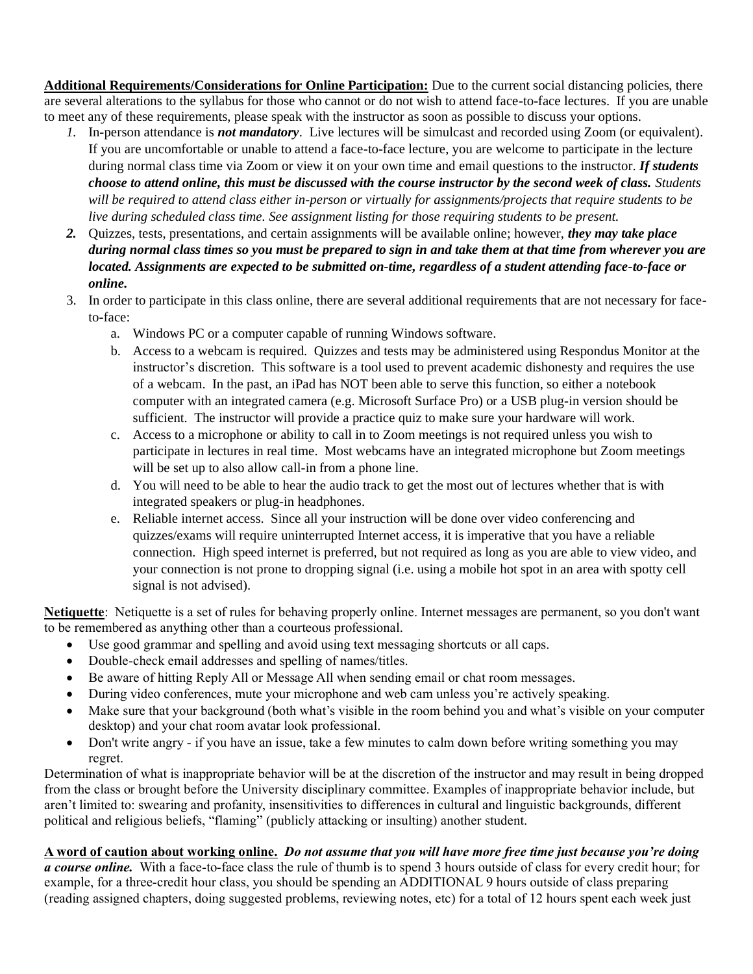**Additional Requirements/Considerations for Online Participation:** Due to the current social distancing policies, there are several alterations to the syllabus for those who cannot or do not wish to attend face-to-face lectures. If you are unable to meet any of these requirements, please speak with the instructor as soon as possible to discuss your options.

- *1.* In-person attendance is *not mandatory*. Live lectures will be simulcast and recorded using Zoom (or equivalent). If you are uncomfortable or unable to attend a face-to-face lecture, you are welcome to participate in the lecture during normal class time via Zoom or view it on your own time and email questions to the instructor. *If students choose to attend online, this must be discussed with the course instructor by the second week of class. Students will be required to attend class either in-person or virtually for assignments/projects that require students to be live during scheduled class time. See assignment listing for those requiring students to be present.*
- *2.* Quizzes, tests, presentations, and certain assignments will be available online; however, *they may take place during normal class times so you must be prepared to sign in and take them at that time from wherever you are located. Assignments are expected to be submitted on-time, regardless of a student attending face-to-face or online.*
- 3. In order to participate in this class online, there are several additional requirements that are not necessary for faceto-face:
	- a. Windows PC or a computer capable of running Windows software.
	- b. Access to a webcam is required. Quizzes and tests may be administered using Respondus Monitor at the instructor's discretion. This software is a tool used to prevent academic dishonesty and requires the use of a webcam. In the past, an iPad has NOT been able to serve this function, so either a notebook computer with an integrated camera (e.g. Microsoft Surface Pro) or a USB plug-in version should be sufficient. The instructor will provide a practice quiz to make sure your hardware will work.
	- c. Access to a microphone or ability to call in to Zoom meetings is not required unless you wish to participate in lectures in real time. Most webcams have an integrated microphone but Zoom meetings will be set up to also allow call-in from a phone line.
	- d. You will need to be able to hear the audio track to get the most out of lectures whether that is with integrated speakers or plug-in headphones.
	- e. Reliable internet access. Since all your instruction will be done over video conferencing and quizzes/exams will require uninterrupted Internet access, it is imperative that you have a reliable connection. High speed internet is preferred, but not required as long as you are able to view video, and your connection is not prone to dropping signal (i.e. using a mobile hot spot in an area with spotty cell signal is not advised).

**Netiquette**: Netiquette is a set of rules for behaving properly online. Internet messages are permanent, so you don't want to be remembered as anything other than a courteous professional.

- Use good grammar and spelling and avoid using text messaging shortcuts or all caps.
- Double-check email addresses and spelling of names/titles.
- Be aware of hitting Reply All or Message All when sending email or chat room messages.
- During video conferences, mute your microphone and web cam unless you're actively speaking.
- Make sure that your background (both what's visible in the room behind you and what's visible on your computer desktop) and your chat room avatar look professional.
- Don't write angry if you have an issue, take a few minutes to calm down before writing something you may regret.

Determination of what is inappropriate behavior will be at the discretion of the instructor and may result in being dropped from the class or brought before the University disciplinary committee. Examples of inappropriate behavior include, but aren't limited to: swearing and profanity, insensitivities to differences in cultural and linguistic backgrounds, different political and religious beliefs, "flaming" (publicly attacking or insulting) another student.

# **A word of caution about working online.** *Do not assume that you will have more free time just because you're doing*

*a course online.* With a face-to-face class the rule of thumb is to spend 3 hours outside of class for every credit hour; for example, for a three-credit hour class, you should be spending an ADDITIONAL 9 hours outside of class preparing (reading assigned chapters, doing suggested problems, reviewing notes, etc) for a total of 12 hours spent each week just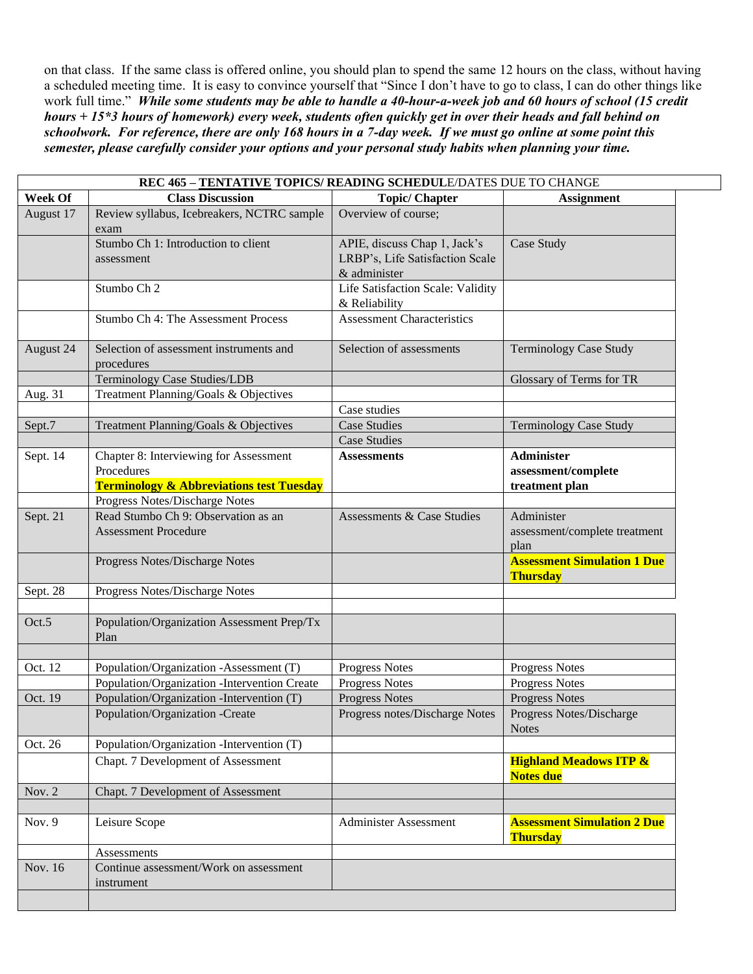on that class. If the same class is offered online, you should plan to spend the same 12 hours on the class, without having a scheduled meeting time. It is easy to convince yourself that "Since I don't have to go to class, I can do other things like work full time." *While some students may be able to handle a 40-hour-a-week job and 60 hours of school (15 credit hours + 15\*3 hours of homework) every week, students often quickly get in over their heads and fall behind on schoolwork. For reference, there are only 168 hours in a 7-day week. If we must go online at some point this semester, please carefully consider your options and your personal study habits when planning your time.*

| REC 465 - TENTATIVE TOPICS/ READING SCHEDULE/DATES DUE TO CHANGE |                                                       |                                   |                                                       |  |
|------------------------------------------------------------------|-------------------------------------------------------|-----------------------------------|-------------------------------------------------------|--|
| <b>Week Of</b>                                                   | <b>Class Discussion</b>                               | <b>Topic/Chapter</b>              | <b>Assignment</b>                                     |  |
| August 17                                                        | Review syllabus, Icebreakers, NCTRC sample<br>exam    | Overview of course;               |                                                       |  |
|                                                                  | Stumbo Ch 1: Introduction to client                   | APIE, discuss Chap 1, Jack's      | Case Study                                            |  |
|                                                                  | assessment                                            | LRBP's, Life Satisfaction Scale   |                                                       |  |
|                                                                  |                                                       | & administer                      |                                                       |  |
|                                                                  | Stumbo Ch 2                                           | Life Satisfaction Scale: Validity |                                                       |  |
|                                                                  |                                                       | & Reliability                     |                                                       |  |
|                                                                  | Stumbo Ch 4: The Assessment Process                   | <b>Assessment Characteristics</b> |                                                       |  |
| August 24                                                        | Selection of assessment instruments and<br>procedures | Selection of assessments          | <b>Terminology Case Study</b>                         |  |
|                                                                  | Terminology Case Studies/LDB                          |                                   | Glossary of Terms for TR                              |  |
| Aug. 31                                                          | Treatment Planning/Goals & Objectives                 |                                   |                                                       |  |
|                                                                  |                                                       | Case studies                      |                                                       |  |
| Sept.7                                                           | Treatment Planning/Goals & Objectives                 | <b>Case Studies</b>               | <b>Terminology Case Study</b>                         |  |
|                                                                  |                                                       | <b>Case Studies</b>               |                                                       |  |
| Sept. 14                                                         | Chapter 8: Interviewing for Assessment                | <b>Assessments</b>                | <b>Administer</b>                                     |  |
|                                                                  | Procedures                                            |                                   | assessment/complete                                   |  |
|                                                                  | <b>Terminology &amp; Abbreviations test Tuesday</b>   |                                   | treatment plan                                        |  |
|                                                                  | Progress Notes/Discharge Notes                        |                                   |                                                       |  |
| Sept. 21                                                         | Read Stumbo Ch 9: Observation as an                   | Assessments & Case Studies        | Administer                                            |  |
|                                                                  | <b>Assessment Procedure</b>                           |                                   | assessment/complete treatment                         |  |
|                                                                  |                                                       |                                   | plan                                                  |  |
|                                                                  | Progress Notes/Discharge Notes                        |                                   | <b>Assessment Simulation 1 Due</b><br><b>Thursday</b> |  |
| Sept. 28                                                         | Progress Notes/Discharge Notes                        |                                   |                                                       |  |
|                                                                  |                                                       |                                   |                                                       |  |
| Oct.5                                                            | Population/Organization Assessment Prep/Tx<br>Plan    |                                   |                                                       |  |
|                                                                  |                                                       |                                   |                                                       |  |
| Oct. 12                                                          | Population/Organization -Assessment (T)               | Progress Notes                    | <b>Progress Notes</b>                                 |  |
|                                                                  | Population/Organization -Intervention Create          | Progress Notes                    | <b>Progress Notes</b>                                 |  |
| Oct. 19                                                          | Population/Organization -Intervention (T)             | <b>Progress Notes</b>             | <b>Progress Notes</b>                                 |  |
|                                                                  | Population/Organization -Create                       | Progress notes/Discharge Notes    | Progress Notes/Discharge<br><b>Notes</b>              |  |
| Oct. 26                                                          | Population/Organization -Intervention (T)             |                                   |                                                       |  |
|                                                                  | Chapt. 7 Development of Assessment                    |                                   | <b>Highland Meadows ITP &amp;</b><br><b>Notes due</b> |  |
| Nov. 2                                                           | Chapt. 7 Development of Assessment                    |                                   |                                                       |  |
|                                                                  |                                                       |                                   |                                                       |  |
| Nov. 9                                                           | Leisure Scope                                         | Administer Assessment             | <b>Assessment Simulation 2 Due</b><br><b>Thursday</b> |  |
|                                                                  |                                                       |                                   |                                                       |  |
|                                                                  | Assessments                                           |                                   |                                                       |  |
| Nov. 16                                                          | Continue assessment/Work on assessment                |                                   |                                                       |  |